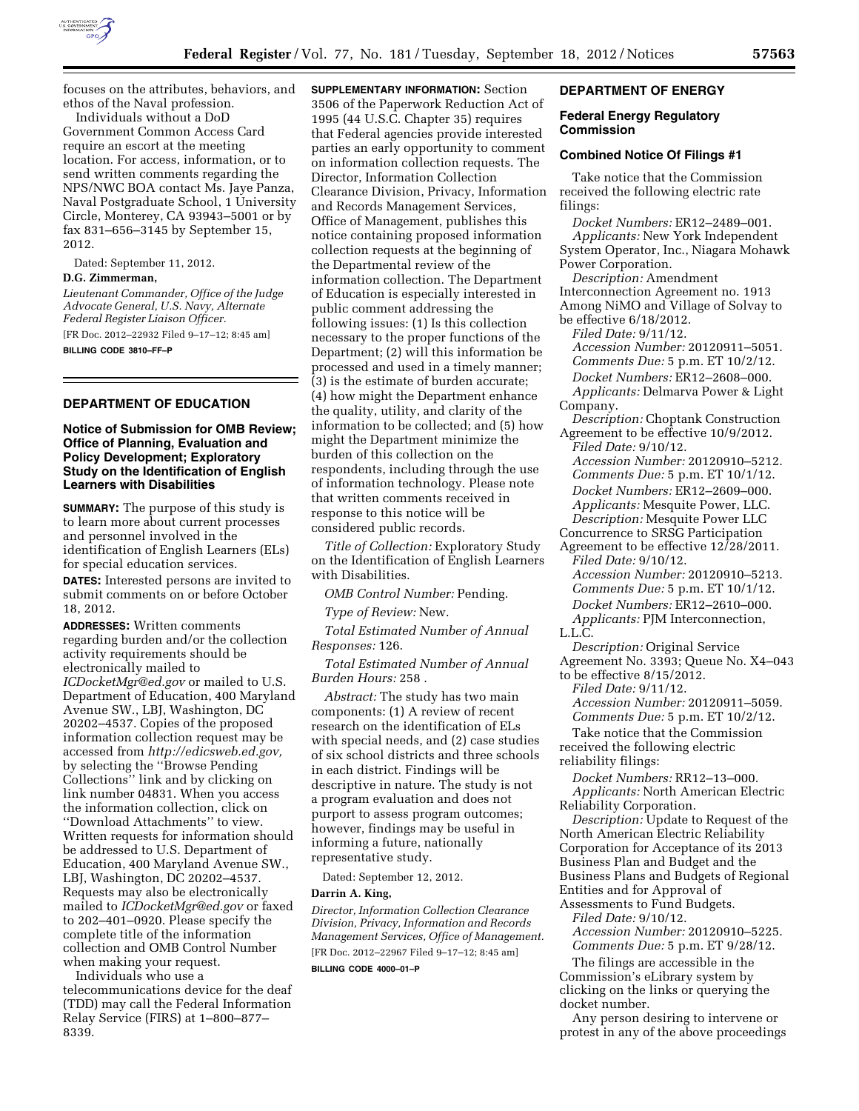

focuses on the attributes, behaviors, and ethos of the Naval profession.

Individuals without a DoD Government Common Access Card require an escort at the meeting location. For access, information, or to send written comments regarding the NPS/NWC BOA contact Ms. Jaye Panza, Naval Postgraduate School, 1 University Circle, Monterey, CA 93943–5001 or by fax 831–656–3145 by September 15, 2012.

Dated: September 11, 2012.

## **D.G. Zimmerman,**

*Lieutenant Commander, Office of the Judge Advocate General, U.S. Navy, Alternate Federal Register Liaison Officer.*  [FR Doc. 2012–22932 Filed 9–17–12; 8:45 am] **BILLING CODE 3810–FF–P** 

## **DEPARTMENT OF EDUCATION**

## **Notice of Submission for OMB Review; Office of Planning, Evaluation and Policy Development; Exploratory Study on the Identification of English Learners with Disabilities**

**SUMMARY:** The purpose of this study is to learn more about current processes and personnel involved in the identification of English Learners (ELs) for special education services.

**DATES:** Interested persons are invited to submit comments on or before October 18, 2012.

**ADDRESSES:** Written comments regarding burden and/or the collection activity requirements should be electronically mailed to *[ICDocketMgr@ed.gov](mailto:ICDocketMgr@ed.gov)* or mailed to U.S. Department of Education, 400 Maryland Avenue SW., LBJ, Washington, DC 20202–4537. Copies of the proposed information collection request may be accessed from *[http://edicsweb.ed.gov,](http://edicsweb.ed.gov)*  by selecting the ''Browse Pending Collections'' link and by clicking on link number 04831. When you access the information collection, click on ''Download Attachments'' to view. Written requests for information should be addressed to U.S. Department of Education, 400 Maryland Avenue SW., LBJ, Washington, DC 20202–4537. Requests may also be electronically mailed to *[ICDocketMgr@ed.gov](mailto:ICDocketMgr@ed.gov)* or faxed to 202–401–0920. Please specify the complete title of the information collection and OMB Control Number when making your request.

Individuals who use a telecommunications device for the deaf (TDD) may call the Federal Information Relay Service (FIRS) at 1–800–877– 8339.

**SUPPLEMENTARY INFORMATION:** Section 3506 of the Paperwork Reduction Act of 1995 (44 U.S.C. Chapter 35) requires that Federal agencies provide interested parties an early opportunity to comment on information collection requests. The Director, Information Collection Clearance Division, Privacy, Information and Records Management Services, Office of Management, publishes this notice containing proposed information collection requests at the beginning of the Departmental review of the information collection. The Department of Education is especially interested in public comment addressing the following issues: (1) Is this collection necessary to the proper functions of the Department; (2) will this information be processed and used in a timely manner; (3) is the estimate of burden accurate; (4) how might the Department enhance the quality, utility, and clarity of the information to be collected; and (5) how might the Department minimize the burden of this collection on the respondents, including through the use of information technology. Please note that written comments received in response to this notice will be considered public records.

*Title of Collection:* Exploratory Study on the Identification of English Learners with Disabilities.

*OMB Control Number:* Pending.

*Type of Review:* New.

*Total Estimated Number of Annual Responses:* 126.

*Total Estimated Number of Annual Burden Hours:* 258 .

*Abstract:* The study has two main components: (1) A review of recent research on the identification of ELs with special needs, and (2) case studies of six school districts and three schools in each district. Findings will be descriptive in nature. The study is not a program evaluation and does not purport to assess program outcomes; however, findings may be useful in informing a future, nationally representative study.

Dated: September 12, 2012.

### **Darrin A. King,**

*Director, Information Collection Clearance Division, Privacy, Information and Records Management Services, Office of Management.*  [FR Doc. 2012–22967 Filed 9–17–12; 8:45 am]

**BILLING CODE 4000–01–P** 

### **DEPARTMENT OF ENERGY**

### **Federal Energy Regulatory Commission**

### **Combined Notice Of Filings #1**

Take notice that the Commission received the following electric rate filings:

*Docket Numbers:* ER12–2489–001. *Applicants:* New York Independent System Operator, Inc., Niagara Mohawk Power Corporation.

*Description:* Amendment Interconnection Agreement no. 1913 Among NiMO and Village of Solvay to be effective 6/18/2012. *Filed Date:* 9/11/12. *Accession Number:* 20120911–5051. *Comments Due:* 5 p.m. ET 10/2/12. *Docket Numbers:* ER12–2608–000. *Applicants:* Delmarva Power & Light Company. *Description:* Choptank Construction Agreement to be effective 10/9/2012. *Filed Date:* 9/10/12. *Accession Number:* 20120910–5212. *Comments Due:* 5 p.m. ET 10/1/12. *Docket Numbers:* ER12–2609–000. *Applicants:* Mesquite Power, LLC. *Description:* Mesquite Power LLC Concurrence to SRSG Participation Agreement to be effective 12/28/2011. *Filed Date:* 9/10/12. *Accession Number:* 20120910–5213. *Comments Due:* 5 p.m. ET 10/1/12. *Docket Numbers:* ER12–2610–000. *Applicants:* PJM Interconnection,

L.L.C.

*Description:* Original Service Agreement No. 3393; Queue No. X4–043

to be effective 8/15/2012. *Filed Date:* 9/11/12.

*Accession Number:* 20120911–5059. *Comments Due:* 5 p.m. ET 10/2/12.

Take notice that the Commission received the following electric

reliability filings:

*Docket Numbers:* RR12–13–000. *Applicants:* North American Electric Reliability Corporation.

*Description:* Update to Request of the North American Electric Reliability Corporation for Acceptance of its 2013 Business Plan and Budget and the Business Plans and Budgets of Regional Entities and for Approval of

Assessments to Fund Budgets. *Filed Date:* 9/10/12.

*Accession Number:* 20120910–5225. *Comments Due:* 5 p.m. ET 9/28/12.

The filings are accessible in the Commission's eLibrary system by clicking on the links or querying the docket number.

Any person desiring to intervene or protest in any of the above proceedings